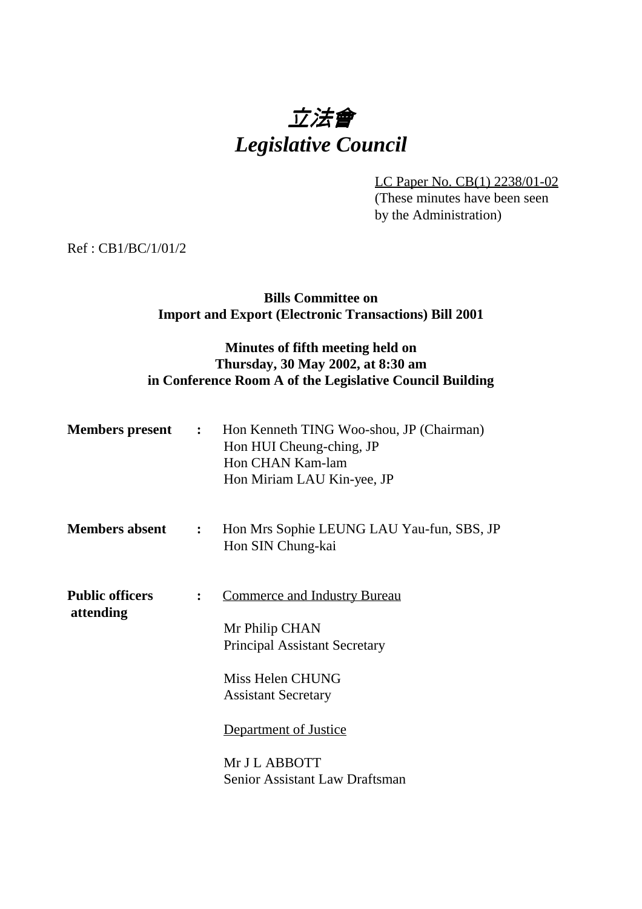# 立法會 *Legislative Council*

LC Paper No. CB(1) 2238/01-02 (These minutes have been seen by the Administration)

Ref : CB1/BC/1/01/2

#### **Bills Committee on Import and Export (Electronic Transactions) Bill 2001**

### **Minutes of fifth meeting held on Thursday, 30 May 2002, at 8:30 am in Conference Room A of the Legislative Council Building**

| <b>Members present</b>              |                | : Hon Kenneth TING Woo-shou, JP (Chairman)<br>Hon HUI Cheung-ching, JP<br>Hon CHAN Kam-lam<br>Hon Miriam LAU Kin-yee, JP |
|-------------------------------------|----------------|--------------------------------------------------------------------------------------------------------------------------|
| <b>Members absent</b>               | $\ddot{\cdot}$ | Hon Mrs Sophie LEUNG LAU Yau-fun, SBS, JP<br>Hon SIN Chung-kai                                                           |
| <b>Public officers</b><br>attending |                | <b>Commerce and Industry Bureau</b><br>Mr Philip CHAN<br><b>Principal Assistant Secretary</b>                            |
|                                     |                | Miss Helen CHUNG<br><b>Assistant Secretary</b>                                                                           |
|                                     |                | Department of Justice                                                                                                    |
|                                     |                | Mr J L ABBOTT<br><b>Senior Assistant Law Draftsman</b>                                                                   |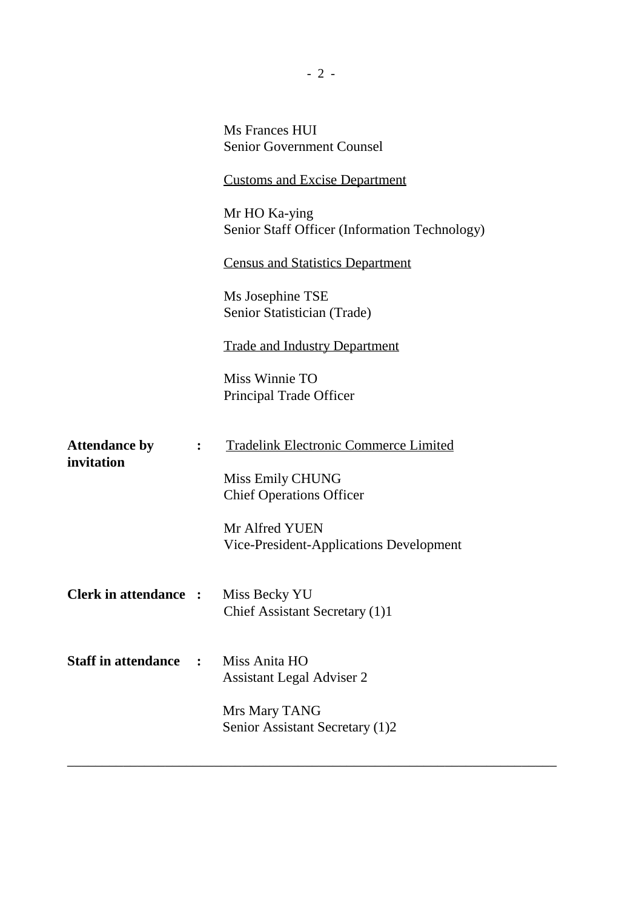|                                            |                | Ms Frances HUI<br><b>Senior Government Counsel</b>             |
|--------------------------------------------|----------------|----------------------------------------------------------------|
|                                            |                | <b>Customs and Excise Department</b>                           |
|                                            |                | Mr HO Ka-ying<br>Senior Staff Officer (Information Technology) |
|                                            |                | <b>Census and Statistics Department</b>                        |
|                                            |                | Ms Josephine TSE<br>Senior Statistician (Trade)                |
|                                            |                | <b>Trade and Industry Department</b>                           |
|                                            |                | Miss Winnie TO<br>Principal Trade Officer                      |
| <b>Attendance by</b><br>invitation         | $\ddot{\cdot}$ | <b>Tradelink Electronic Commerce Limited</b>                   |
|                                            |                | Miss Emily CHUNG<br><b>Chief Operations Officer</b>            |
|                                            |                | Mr Alfred YUEN<br>Vice-President-Applications Development      |
| <b>Clerk in attendance :</b> Miss Becky YU |                | Chief Assistant Secretary (1)1                                 |
| <b>Staff in attendance</b>                 |                | Miss Anita HO<br><b>Assistant Legal Adviser 2</b>              |
|                                            |                | Mrs Mary TANG<br>Senior Assistant Secretary (1)2               |
|                                            |                |                                                                |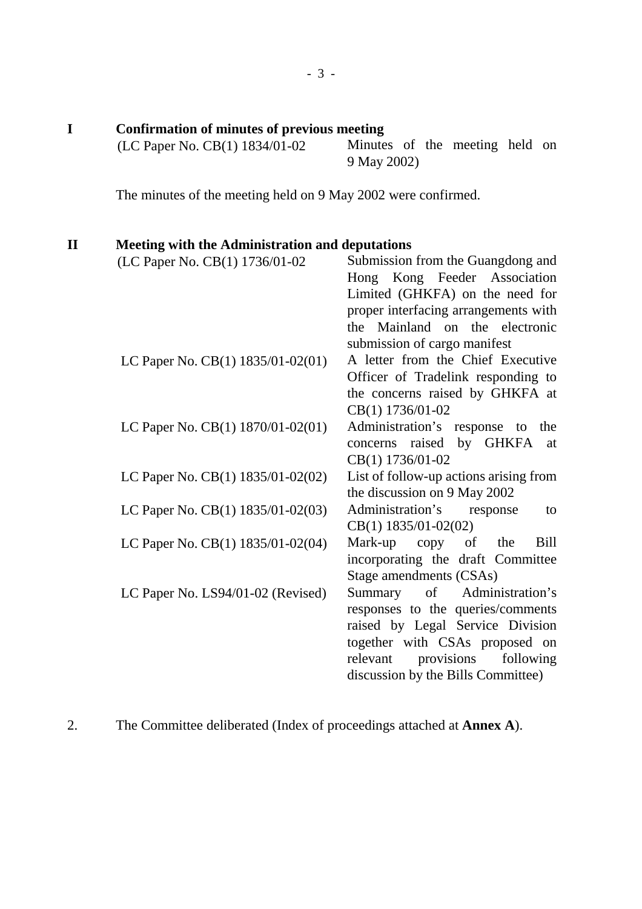The minutes of the meeting held on 9 May 2002 were confirmed. **II Meeting with the Administration and deputations**  $(LC$  Paper No.  $CB(1)$  1736/01-02 — Submission from the Guangdong and Hong Kong Feeder Association Limited (GHKFA) on the need for proper interfacing arrangements with the Mainland on the electronic submission of cargo manifest LC Paper No. CB(1)  $1835/01-02(01)$  - A letter from the Chief Executive Officer of Tradelink responding to the concerns raised by GHKFA at CB(1) 1736/01-02 LC Paper No. CB $(1)$  1870/01-02 $(01)$  — Administration's response to the concerns raised by GHKFA at CB(1) 1736/01-02 LC Paper No. CB $(1)$  1835/01-02 $(02)$  — List of follow-up actions arising from the discussion on 9 May 2002 LC Paper No. CB $(1)$  1835/01-02 $(03)$  - Administration's response to CB(1) 1835/01-02(02) LC Paper No. CB(1)  $1835/01-02(04)$  Mark-up copy of the Bill incorporating the draft Committee Stage amendments (CSAs) LC Paper No. LS94/01-02 (Revised) — Summary of Administration's responses to the queries/comments raised by Legal Service Division together with CSAs proposed on relevant provisions following discussion by the Bills Committee)

2. The Committee deliberated (Index of proceedings attached at **Annex A**).

 $(LC$  Paper No.  $CB(1)$  1834/01-02 — Minutes of the meeting held on

9 May 2002)

**I Confirmation of minutes of previous meeting**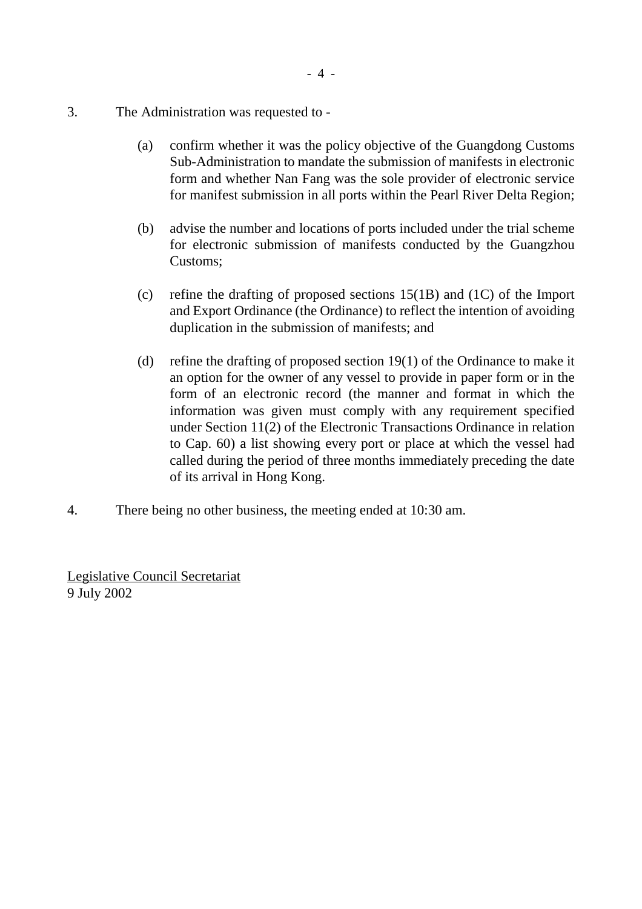- 3. The Administration was requested to
	- (a) confirm whether it was the policy objective of the Guangdong Customs Sub-Administration to mandate the submission of manifests in electronic form and whether Nan Fang was the sole provider of electronic service for manifest submission in all ports within the Pearl River Delta Region;
	- (b) advise the number and locations of ports included under the trial scheme for electronic submission of manifests conducted by the Guangzhou Customs;
	- (c) refine the drafting of proposed sections 15(1B) and (1C) of the Import and Export Ordinance (the Ordinance) to reflect the intention of avoiding duplication in the submission of manifests; and
	- (d) refine the drafting of proposed section 19(1) of the Ordinance to make it an option for the owner of any vessel to provide in paper form or in the form of an electronic record (the manner and format in which the information was given must comply with any requirement specified under Section 11(2) of the Electronic Transactions Ordinance in relation to Cap. 60) a list showing every port or place at which the vessel had called during the period of three months immediately preceding the date of its arrival in Hong Kong.
- 4. There being no other business, the meeting ended at 10:30 am.

Legislative Council Secretariat 9 July 2002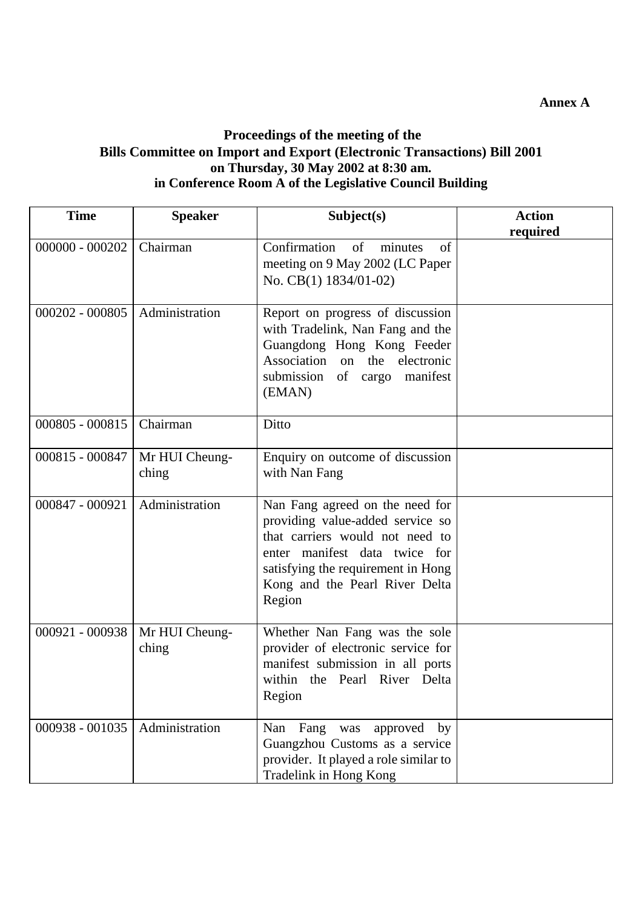#### **Annex A**

#### **Proceedings of the meeting of the Bills Committee on Import and Export (Electronic Transactions) Bill 2001 on Thursday, 30 May 2002 at 8:30 am. in Conference Room A of the Legislative Council Building**

| <b>Time</b>       | <b>Speaker</b>          | Subject(s)                                                                                                                                                                                                                | <b>Action</b> |
|-------------------|-------------------------|---------------------------------------------------------------------------------------------------------------------------------------------------------------------------------------------------------------------------|---------------|
| $000000 - 000202$ | Chairman                | Confirmation<br>of<br>minutes<br>of<br>meeting on 9 May 2002 (LC Paper<br>No. CB(1) 1834/01-02)                                                                                                                           | required      |
| $000202 - 000805$ | Administration          | Report on progress of discussion<br>with Tradelink, Nan Fang and the<br>Guangdong Hong Kong Feeder<br>Association on the electronic<br>submission of cargo<br>manifest<br>(EMAN)                                          |               |
| $000805 - 000815$ | Chairman                | Ditto                                                                                                                                                                                                                     |               |
| 000815 - 000847   | Mr HUI Cheung-<br>ching | Enquiry on outcome of discussion<br>with Nan Fang                                                                                                                                                                         |               |
| 000847 - 000921   | Administration          | Nan Fang agreed on the need for<br>providing value-added service so<br>that carriers would not need to<br>enter manifest data twice for<br>satisfying the requirement in Hong<br>Kong and the Pearl River Delta<br>Region |               |
| 000921 - 000938   | Mr HUI Cheung-<br>ching | Whether Nan Fang was the sole<br>provider of electronic service for<br>manifest submission in all ports<br>within the Pearl River Delta<br>Region                                                                         |               |
| 000938 - 001035   | Administration          | Fang was<br>approved by<br>Nan<br>Guangzhou Customs as a service<br>provider. It played a role similar to<br>Tradelink in Hong Kong                                                                                       |               |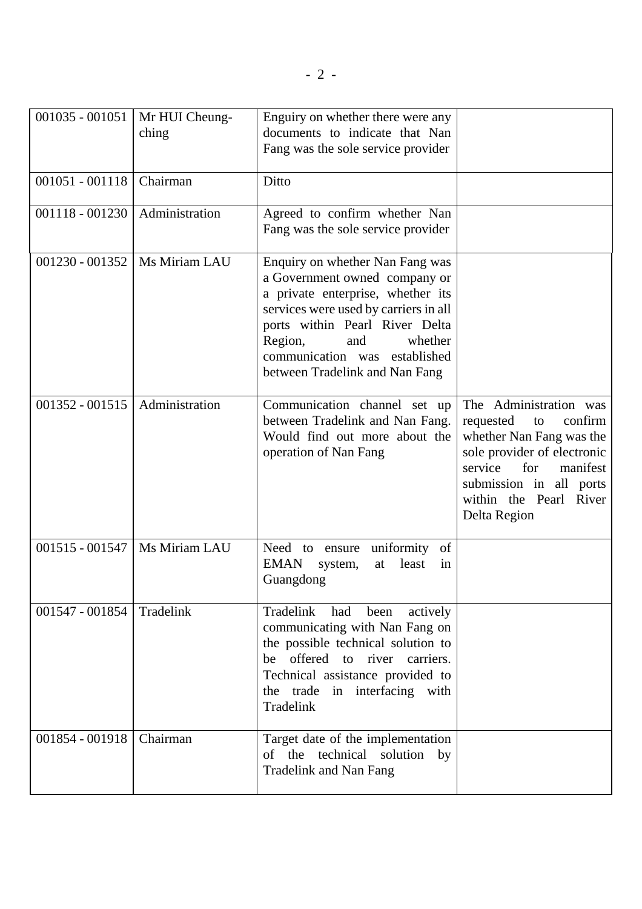| $001035 - 001051$ | Mr HUI Cheung-<br>ching | Enguiry on whether there were any<br>documents to indicate that Nan<br>Fang was the sole service provider                                                                                                                                                                        |                                                                                                                                                                                                                    |
|-------------------|-------------------------|----------------------------------------------------------------------------------------------------------------------------------------------------------------------------------------------------------------------------------------------------------------------------------|--------------------------------------------------------------------------------------------------------------------------------------------------------------------------------------------------------------------|
| $001051 - 001118$ | Chairman                | Ditto                                                                                                                                                                                                                                                                            |                                                                                                                                                                                                                    |
| $001118 - 001230$ | Administration          | Agreed to confirm whether Nan<br>Fang was the sole service provider                                                                                                                                                                                                              |                                                                                                                                                                                                                    |
| 001230 - 001352   | Ms Miriam LAU           | Enquiry on whether Nan Fang was<br>a Government owned company or<br>a private enterprise, whether its<br>services were used by carriers in all<br>ports within Pearl River Delta<br>Region,<br>and<br>whether<br>communication was established<br>between Tradelink and Nan Fang |                                                                                                                                                                                                                    |
| $001352 - 001515$ | Administration          | Communication channel set up<br>between Tradelink and Nan Fang.<br>Would find out more about the<br>operation of Nan Fang                                                                                                                                                        | The Administration was<br>requested<br>confirm<br>to<br>whether Nan Fang was the<br>sole provider of electronic<br>for<br>manifest<br>service<br>submission in all ports<br>within the Pearl River<br>Delta Region |
| $001515 - 001547$ | Ms Miriam LAU           | Need to ensure<br>uniformity<br>of<br>least<br><b>EMAN</b><br>system,<br>in<br>at<br>Guangdong                                                                                                                                                                                   |                                                                                                                                                                                                                    |
| 001547 - 001854   | Tradelink               | Tradelink<br>had<br>been<br>actively<br>communicating with Nan Fang on<br>the possible technical solution to<br>be offered to river carriers.<br>Technical assistance provided to<br>the trade in interfacing with<br>Tradelink                                                  |                                                                                                                                                                                                                    |
| 001854 - 001918   | Chairman                | Target date of the implementation<br>of the technical solution<br>by<br><b>Tradelink and Nan Fang</b>                                                                                                                                                                            |                                                                                                                                                                                                                    |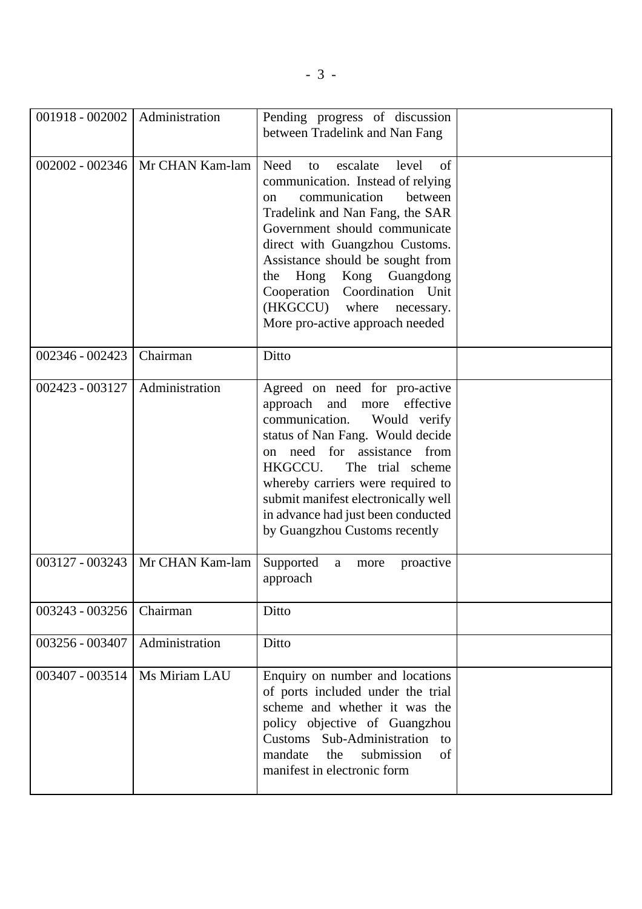| 001918 - 002002   | Administration  | Pending progress of discussion<br>between Tradelink and Nan Fang                                                                                                                                                                                                                                                                                                                                       |  |
|-------------------|-----------------|--------------------------------------------------------------------------------------------------------------------------------------------------------------------------------------------------------------------------------------------------------------------------------------------------------------------------------------------------------------------------------------------------------|--|
| $002002 - 002346$ | Mr CHAN Kam-lam | Need<br>escalate<br>level<br>of<br>to<br>communication. Instead of relying<br>communication<br>between<br><sub>on</sub><br>Tradelink and Nan Fang, the SAR<br>Government should communicate<br>direct with Guangzhou Customs.<br>Assistance should be sought from<br>Kong Guangdong<br>Hong<br>the<br>Cooperation Coordination Unit<br>(HKGCCU) where<br>necessary.<br>More pro-active approach needed |  |
| 002346 - 002423   | Chairman        | Ditto                                                                                                                                                                                                                                                                                                                                                                                                  |  |
| 002423 - 003127   | Administration  | Agreed on need for pro-active<br>approach<br>effective<br>and<br>more<br>communication.<br>Would verify<br>status of Nan Fang. Would decide<br>on need for assistance from<br>HKGCCU.<br>The trial scheme<br>whereby carriers were required to<br>submit manifest electronically well<br>in advance had just been conducted<br>by Guangzhou Customs recently                                           |  |
| 003127 - 003243   | Mr CHAN Kam-lam | Supported<br>proactive<br>a<br>more<br>approach                                                                                                                                                                                                                                                                                                                                                        |  |
| 003243 - 003256   | Chairman        | Ditto                                                                                                                                                                                                                                                                                                                                                                                                  |  |
| 003256 - 003407   | Administration  | Ditto                                                                                                                                                                                                                                                                                                                                                                                                  |  |
| 003407 - 003514   | Ms Miriam LAU   | Enquiry on number and locations<br>of ports included under the trial<br>scheme and whether it was the<br>policy objective of Guangzhou<br>Customs Sub-Administration to<br>mandate<br>the<br>submission<br>of<br>manifest in electronic form                                                                                                                                                           |  |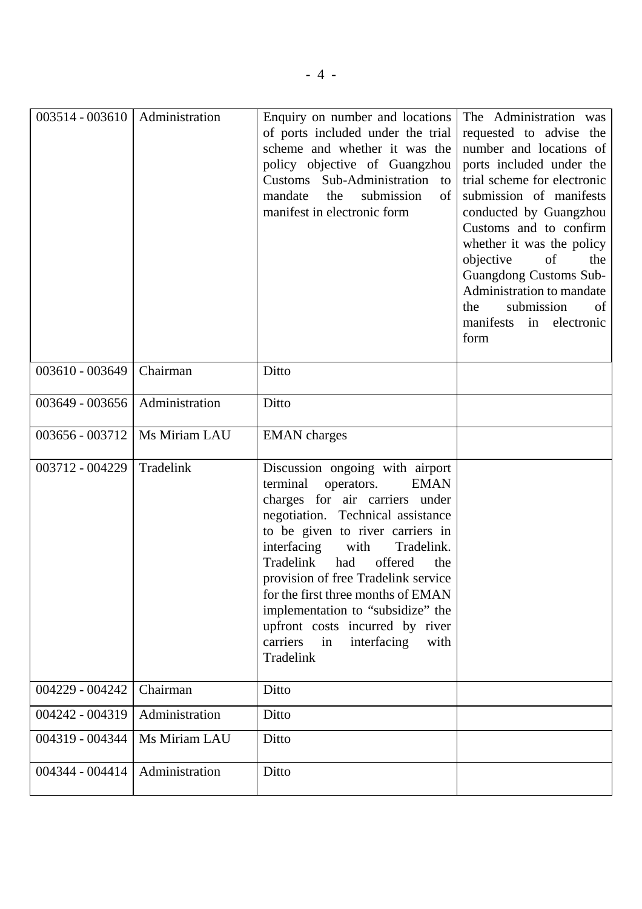| $003514 - 003610$ | Administration | Enquiry on number and locations<br>of ports included under the trial<br>scheme and whether it was the<br>policy objective of Guangzhou<br>Customs Sub-Administration<br>to<br>mandate<br>the<br>submission<br>$\sigma f$<br>manifest in electronic form                                                                                                                                                                                                                   | The Administration was<br>requested to advise the<br>number and locations of<br>ports included under the<br>trial scheme for electronic<br>submission of manifests<br>conducted by Guangzhou<br>Customs and to confirm<br>whether it was the policy<br>of<br>objective<br>the<br><b>Guangdong Customs Sub-</b><br>Administration to mandate<br>submission<br>the<br>of<br>manifests in electronic<br>form |
|-------------------|----------------|---------------------------------------------------------------------------------------------------------------------------------------------------------------------------------------------------------------------------------------------------------------------------------------------------------------------------------------------------------------------------------------------------------------------------------------------------------------------------|-----------------------------------------------------------------------------------------------------------------------------------------------------------------------------------------------------------------------------------------------------------------------------------------------------------------------------------------------------------------------------------------------------------|
| 003610 - 003649   | Chairman       | Ditto                                                                                                                                                                                                                                                                                                                                                                                                                                                                     |                                                                                                                                                                                                                                                                                                                                                                                                           |
| 003649 - 003656   | Administration | Ditto                                                                                                                                                                                                                                                                                                                                                                                                                                                                     |                                                                                                                                                                                                                                                                                                                                                                                                           |
| 003656 - 003712   | Ms Miriam LAU  | <b>EMAN</b> charges                                                                                                                                                                                                                                                                                                                                                                                                                                                       |                                                                                                                                                                                                                                                                                                                                                                                                           |
| 003712 - 004229   | Tradelink      | Discussion ongoing with airport<br>operators.<br>terminal<br><b>EMAN</b><br>charges for air carriers under<br>negotiation. Technical assistance<br>to be given to river carriers in<br>interfacing<br>with<br>Tradelink.<br>Tradelink<br>offered<br>had<br>the<br>provision of free Tradelink service<br>for the first three months of EMAN<br>implementation to "subsidize" the<br>upfront costs incurred by river<br>carriers<br>interfacing<br>in<br>with<br>Tradelink |                                                                                                                                                                                                                                                                                                                                                                                                           |
| 004229 - 004242   | Chairman       | Ditto                                                                                                                                                                                                                                                                                                                                                                                                                                                                     |                                                                                                                                                                                                                                                                                                                                                                                                           |
| 004242 - 004319   | Administration | Ditto                                                                                                                                                                                                                                                                                                                                                                                                                                                                     |                                                                                                                                                                                                                                                                                                                                                                                                           |
| 004319 - 004344   | Ms Miriam LAU  | Ditto                                                                                                                                                                                                                                                                                                                                                                                                                                                                     |                                                                                                                                                                                                                                                                                                                                                                                                           |
| 004344 - 004414   | Administration | Ditto                                                                                                                                                                                                                                                                                                                                                                                                                                                                     |                                                                                                                                                                                                                                                                                                                                                                                                           |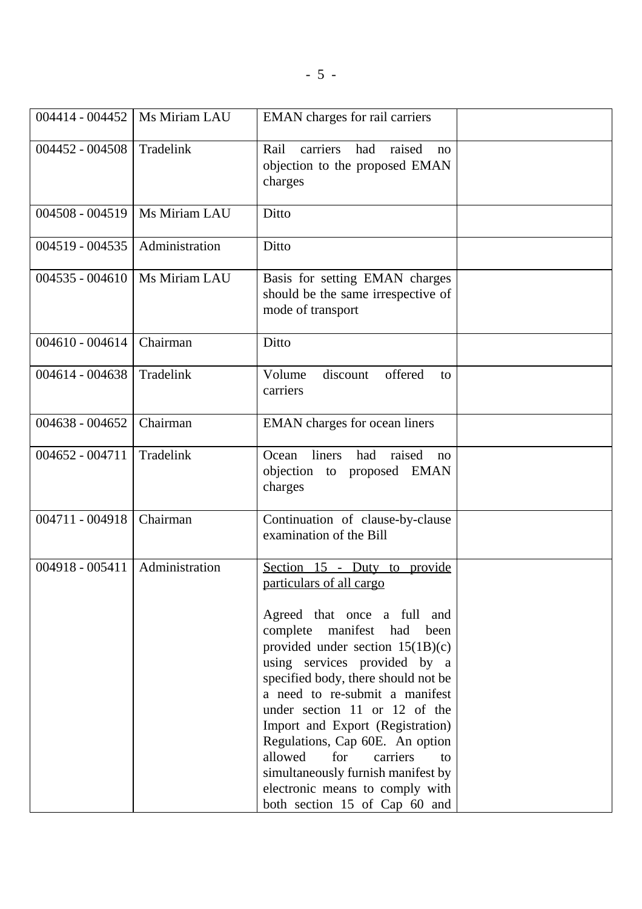| 004414 - 004452   | Ms Miriam LAU  | <b>EMAN</b> charges for rail carriers                                                                                                                                                                                                                                                                                                                                                                                                                                                                                         |  |
|-------------------|----------------|-------------------------------------------------------------------------------------------------------------------------------------------------------------------------------------------------------------------------------------------------------------------------------------------------------------------------------------------------------------------------------------------------------------------------------------------------------------------------------------------------------------------------------|--|
|                   |                |                                                                                                                                                                                                                                                                                                                                                                                                                                                                                                                               |  |
| $004452 - 004508$ | Tradelink      | carriers<br>raised<br>Rail<br>had<br>no<br>objection to the proposed EMAN<br>charges                                                                                                                                                                                                                                                                                                                                                                                                                                          |  |
| $004508 - 004519$ | Ms Miriam LAU  | Ditto                                                                                                                                                                                                                                                                                                                                                                                                                                                                                                                         |  |
| $004519 - 004535$ | Administration | Ditto                                                                                                                                                                                                                                                                                                                                                                                                                                                                                                                         |  |
| $004535 - 004610$ | Ms Miriam LAU  | Basis for setting EMAN charges<br>should be the same irrespective of<br>mode of transport                                                                                                                                                                                                                                                                                                                                                                                                                                     |  |
| 004610 - 004614   | Chairman       | Ditto                                                                                                                                                                                                                                                                                                                                                                                                                                                                                                                         |  |
| 004614 - 004638   | Tradelink      | Volume<br>discount<br>offered<br>to<br>carriers                                                                                                                                                                                                                                                                                                                                                                                                                                                                               |  |
| 004638 - 004652   | Chairman       | <b>EMAN</b> charges for ocean liners                                                                                                                                                                                                                                                                                                                                                                                                                                                                                          |  |
| $004652 - 004711$ | Tradelink      | liners<br>raised<br>had<br>Ocean<br>no<br>objection to proposed EMAN<br>charges                                                                                                                                                                                                                                                                                                                                                                                                                                               |  |
| 004711 - 004918   | Chairman       | Continuation of clause-by-clause<br>examination of the Bill                                                                                                                                                                                                                                                                                                                                                                                                                                                                   |  |
| $004918 - 005411$ | Administration | Section 15 - Duty to provide<br>particulars of all cargo<br>Agreed that once a full and<br>complete manifest had<br>been<br>provided under section $15(1B)(c)$<br>using services provided by a<br>specified body, there should not be<br>a need to re-submit a manifest<br>under section 11 or 12 of the<br>Import and Export (Registration)<br>Regulations, Cap 60E. An option<br>allowed<br>for<br>carriers<br>to<br>simultaneously furnish manifest by<br>electronic means to comply with<br>both section 15 of Cap 60 and |  |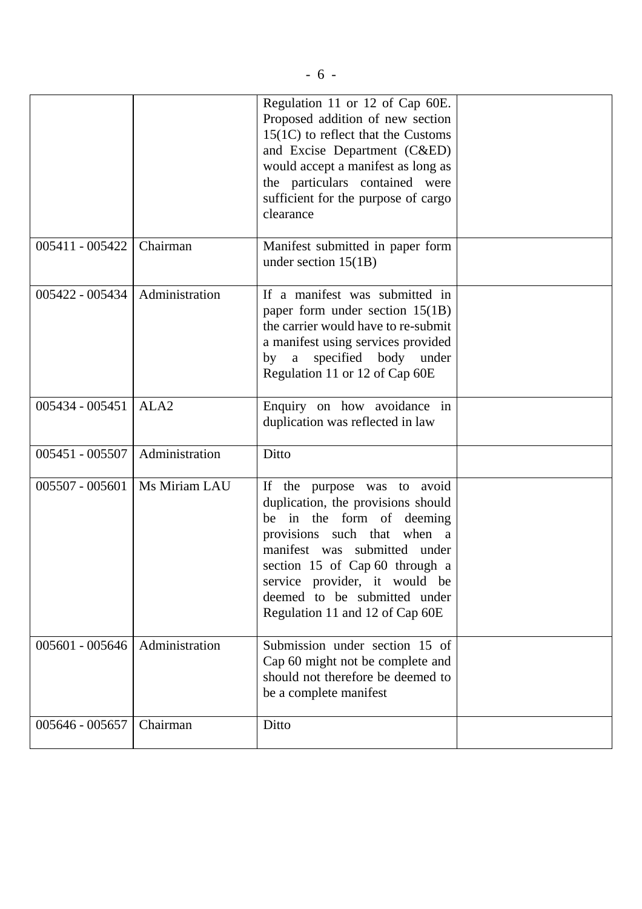|                   |                  | Regulation 11 or 12 of Cap 60E.<br>Proposed addition of new section<br>$15(1C)$ to reflect that the Customs<br>and Excise Department (C&ED)<br>would accept a manifest as long as<br>the particulars contained were<br>sufficient for the purpose of cargo<br>clearance                             |  |
|-------------------|------------------|-----------------------------------------------------------------------------------------------------------------------------------------------------------------------------------------------------------------------------------------------------------------------------------------------------|--|
| $005411 - 005422$ | Chairman         | Manifest submitted in paper form<br>under section $15(1B)$                                                                                                                                                                                                                                          |  |
| 005422 - 005434   | Administration   | If a manifest was submitted in<br>paper form under section $15(1B)$<br>the carrier would have to re-submit<br>a manifest using services provided<br>by a specified body under<br>Regulation 11 or 12 of Cap 60E                                                                                     |  |
| 005434 - 005451   | ALA <sub>2</sub> | Enquiry on how avoidance in<br>duplication was reflected in law                                                                                                                                                                                                                                     |  |
| 005451 - 005507   | Administration   | Ditto                                                                                                                                                                                                                                                                                               |  |
| $005507 - 005601$ | Ms Miriam LAU    | If the purpose was to avoid<br>duplication, the provisions should<br>be in the form of deeming<br>provisions such that when a<br>manifest was submitted under<br>section 15 of Cap 60 through a<br>service provider, it would be<br>deemed to be submitted under<br>Regulation 11 and 12 of Cap 60E |  |
| 005601 - 005646   | Administration   | Submission under section 15 of<br>Cap 60 might not be complete and<br>should not therefore be deemed to<br>be a complete manifest                                                                                                                                                                   |  |
| 005646 - 005657   | Chairman         | Ditto                                                                                                                                                                                                                                                                                               |  |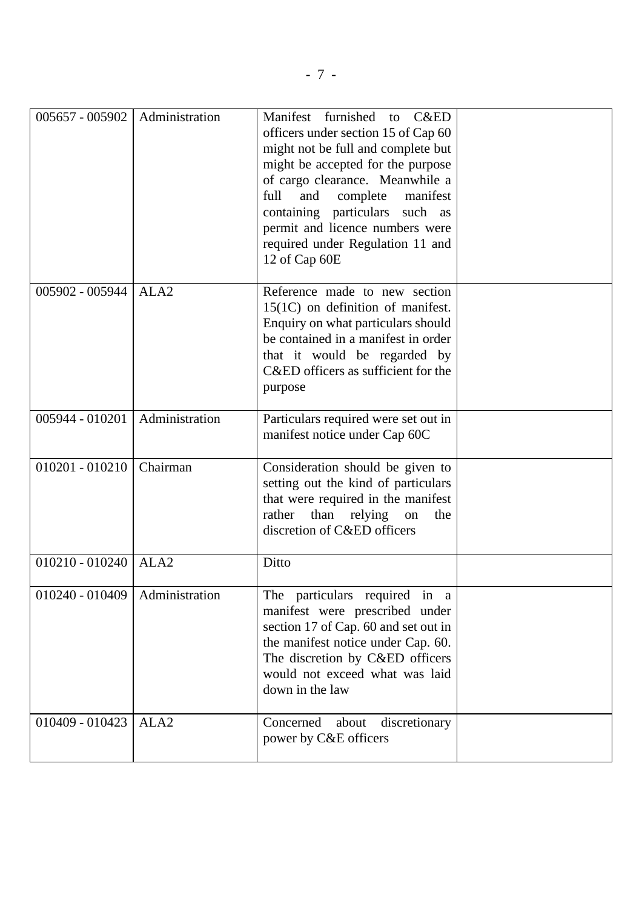| 005657 - 005902   | Administration   | Manifest furnished to C&ED<br>officers under section 15 of Cap 60<br>might not be full and complete but<br>might be accepted for the purpose<br>of cargo clearance. Meanwhile a<br>full<br>and complete<br>manifest<br>containing particulars such as<br>permit and licence numbers were<br>required under Regulation 11 and<br>12 of Cap 60E |  |
|-------------------|------------------|-----------------------------------------------------------------------------------------------------------------------------------------------------------------------------------------------------------------------------------------------------------------------------------------------------------------------------------------------|--|
| 005902 - 005944   | ALA <sub>2</sub> | Reference made to new section<br>$15(1C)$ on definition of manifest.<br>Enquiry on what particulars should<br>be contained in a manifest in order<br>that it would be regarded by<br>C&ED officers as sufficient for the<br>purpose                                                                                                           |  |
| 005944 - 010201   | Administration   | Particulars required were set out in<br>manifest notice under Cap 60C                                                                                                                                                                                                                                                                         |  |
| $010201 - 010210$ | Chairman         | Consideration should be given to<br>setting out the kind of particulars<br>that were required in the manifest<br>rather than relying on<br>the<br>discretion of C&ED officers                                                                                                                                                                 |  |
| $010210 - 010240$ | ALA <sub>2</sub> | Ditto                                                                                                                                                                                                                                                                                                                                         |  |
| 010240 - 010409   | Administration   | The particulars required in a<br>manifest were prescribed under<br>section 17 of Cap. 60 and set out in<br>the manifest notice under Cap. 60.<br>The discretion by C&ED officers<br>would not exceed what was laid<br>down in the law                                                                                                         |  |
| 010409 - 010423   | ALA <sub>2</sub> | Concerned<br>discretionary<br>about<br>power by C&E officers                                                                                                                                                                                                                                                                                  |  |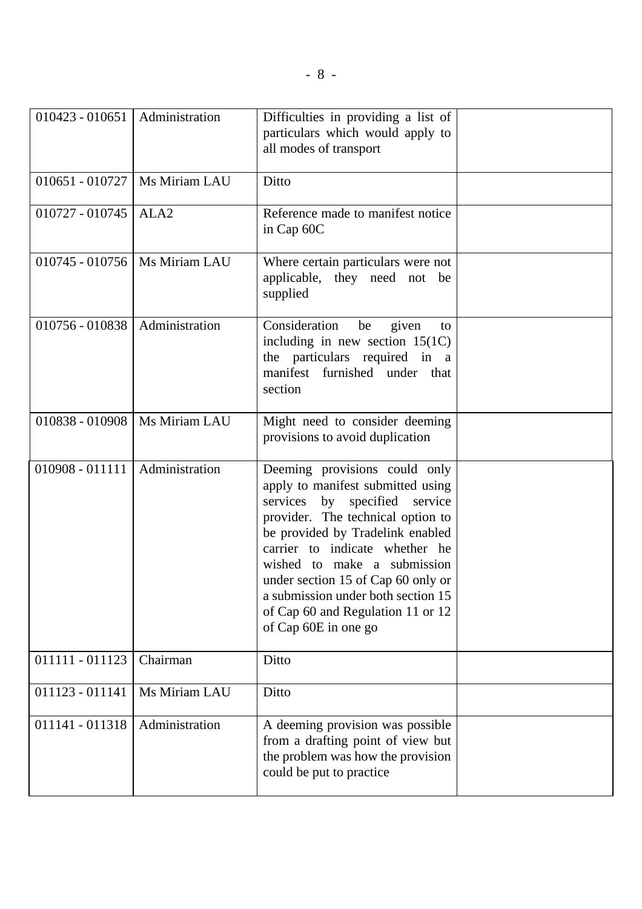| $010423 - 010651$ | Administration   | Difficulties in providing a list of<br>particulars which would apply to<br>all modes of transport                                                                                                                                                                                                                                                                                      |  |
|-------------------|------------------|----------------------------------------------------------------------------------------------------------------------------------------------------------------------------------------------------------------------------------------------------------------------------------------------------------------------------------------------------------------------------------------|--|
| $010651 - 010727$ | Ms Miriam LAU    | Ditto                                                                                                                                                                                                                                                                                                                                                                                  |  |
| 010727 - 010745   | ALA <sub>2</sub> | Reference made to manifest notice<br>in Cap 60C                                                                                                                                                                                                                                                                                                                                        |  |
| 010745 - 010756   | Ms Miriam LAU    | Where certain particulars were not<br>applicable, they need not be<br>supplied                                                                                                                                                                                                                                                                                                         |  |
| 010756 - 010838   | Administration   | Consideration<br>given<br>be<br>to<br>including in new section $15(1C)$<br>the particulars required in a<br>manifest furnished under that<br>section                                                                                                                                                                                                                                   |  |
| 010838 - 010908   | Ms Miriam LAU    | Might need to consider deeming<br>provisions to avoid duplication                                                                                                                                                                                                                                                                                                                      |  |
| $010908 - 011111$ | Administration   | Deeming provisions could only<br>apply to manifest submitted using<br>services by specified service<br>provider. The technical option to<br>be provided by Tradelink enabled<br>carrier to indicate whether he<br>wished to make a submission<br>under section 15 of Cap 60 only or<br>a submission under both section 15<br>of Cap 60 and Regulation 11 or 12<br>of Cap 60E in one go |  |
| 011111 - 011123   | Chairman         | Ditto                                                                                                                                                                                                                                                                                                                                                                                  |  |
| 011123 - 011141   | Ms Miriam LAU    | Ditto                                                                                                                                                                                                                                                                                                                                                                                  |  |
| 011141 - 011318   | Administration   | A deeming provision was possible<br>from a drafting point of view but<br>the problem was how the provision<br>could be put to practice                                                                                                                                                                                                                                                 |  |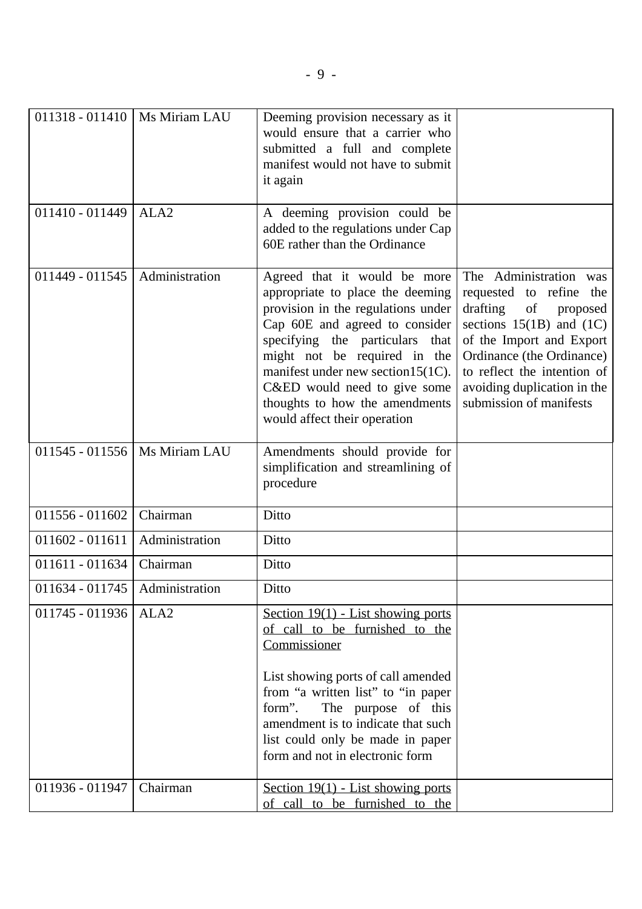|                                    | 011318 - 011410   Ms Miriam LAU | Deeming provision necessary as it<br>would ensure that a carrier who<br>submitted a full and complete<br>manifest would not have to submit<br>it again                                                                                                                                                                                              |                                                                                                                                                                                                                                                                   |
|------------------------------------|---------------------------------|-----------------------------------------------------------------------------------------------------------------------------------------------------------------------------------------------------------------------------------------------------------------------------------------------------------------------------------------------------|-------------------------------------------------------------------------------------------------------------------------------------------------------------------------------------------------------------------------------------------------------------------|
| 011410 - 011449                    | ALA <sub>2</sub>                | A deeming provision could be<br>added to the regulations under Cap<br>60E rather than the Ordinance                                                                                                                                                                                                                                                 |                                                                                                                                                                                                                                                                   |
| $011449 - 011545$                  | Administration                  | Agreed that it would be more<br>appropriate to place the deeming<br>provision in the regulations under<br>Cap 60E and agreed to consider<br>specifying the particulars that<br>might not be required in the<br>manifest under new section 15(1C).<br>C&ED would need to give some<br>thoughts to how the amendments<br>would affect their operation | The Administration was<br>requested to refine the<br>drafting<br>of<br>proposed<br>sections $15(1B)$ and $(1C)$<br>of the Import and Export<br>Ordinance (the Ordinance)<br>to reflect the intention of<br>avoiding duplication in the<br>submission of manifests |
|                                    | 011545 - 011556   Ms Miriam LAU | Amendments should provide for<br>simplification and streamlining of<br>procedure                                                                                                                                                                                                                                                                    |                                                                                                                                                                                                                                                                   |
| $011556 - 011602$                  | Chairman                        | Ditto                                                                                                                                                                                                                                                                                                                                               |                                                                                                                                                                                                                                                                   |
| $011602 - 011611$                  | Administration                  | Ditto                                                                                                                                                                                                                                                                                                                                               |                                                                                                                                                                                                                                                                   |
| 011611 - 011634                    | Chairman                        | Ditto                                                                                                                                                                                                                                                                                                                                               |                                                                                                                                                                                                                                                                   |
| $011634 - 011745$   Administration |                                 | Ditto                                                                                                                                                                                                                                                                                                                                               |                                                                                                                                                                                                                                                                   |
| 011745 - 011936                    | ALA <sub>2</sub>                | Section $19(1)$ - List showing ports<br>of call to be furnished to the<br>Commissioner<br>List showing ports of call amended<br>from "a written list" to "in paper<br>The purpose of this<br>form".<br>amendment is to indicate that such<br>list could only be made in paper<br>form and not in electronic form                                    |                                                                                                                                                                                                                                                                   |
| 011936 - 011947                    | Chairman                        | Section $19(1)$ - List showing ports<br>of call to be furnished to the                                                                                                                                                                                                                                                                              |                                                                                                                                                                                                                                                                   |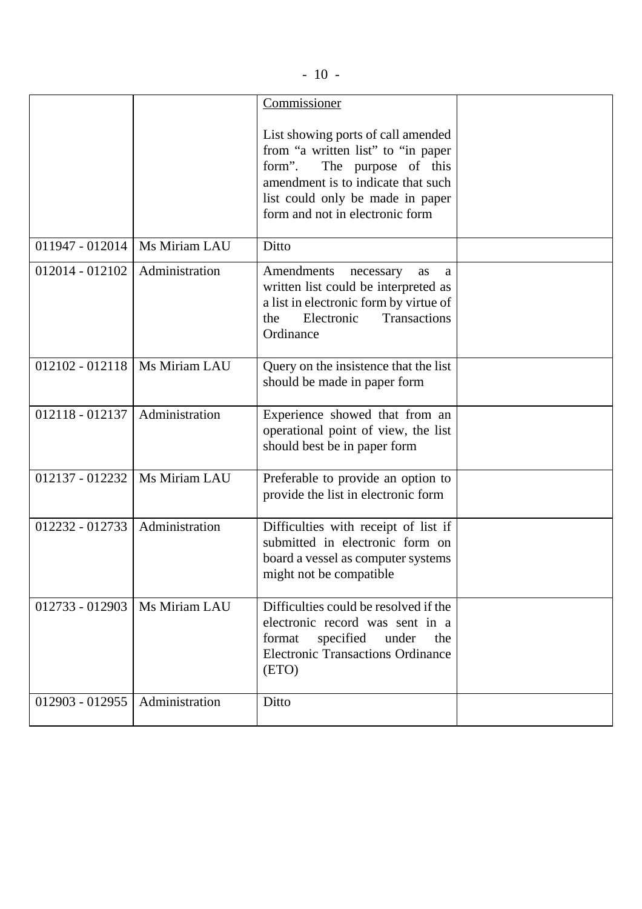|                   |                | <b>Commissioner</b>                                                                                                                                                                                                    |  |
|-------------------|----------------|------------------------------------------------------------------------------------------------------------------------------------------------------------------------------------------------------------------------|--|
|                   |                | List showing ports of call amended<br>from "a written list" to "in paper<br>form".<br>The purpose of this<br>amendment is to indicate that such<br>list could only be made in paper<br>form and not in electronic form |  |
| 011947 - 012014   | Ms Miriam LAU  | Ditto                                                                                                                                                                                                                  |  |
| 012014 - 012102   | Administration | Amendments<br>necessary<br>as<br>a<br>written list could be interpreted as<br>a list in electronic form by virtue of<br>Electronic<br>Transactions<br>the<br>Ordinance                                                 |  |
| $012102 - 012118$ | Ms Miriam LAU  | Query on the insistence that the list<br>should be made in paper form                                                                                                                                                  |  |
| 012118 - 012137   | Administration | Experience showed that from an<br>operational point of view, the list<br>should best be in paper form                                                                                                                  |  |
| 012137 - 012232   | Ms Miriam LAU  | Preferable to provide an option to<br>provide the list in electronic form                                                                                                                                              |  |
| 012232 - 012733   | Administration | Difficulties with receipt of list if<br>submitted in electronic form on<br>board a vessel as computer systems<br>might not be compatible                                                                               |  |
| 012733 - 012903   | Ms Miriam LAU  | Difficulties could be resolved if the<br>electronic record was sent in a<br>format<br>specified<br>under<br>the<br><b>Electronic Transactions Ordinance</b><br>(ETO)                                                   |  |
| 012903 - 012955   | Administration | Ditto                                                                                                                                                                                                                  |  |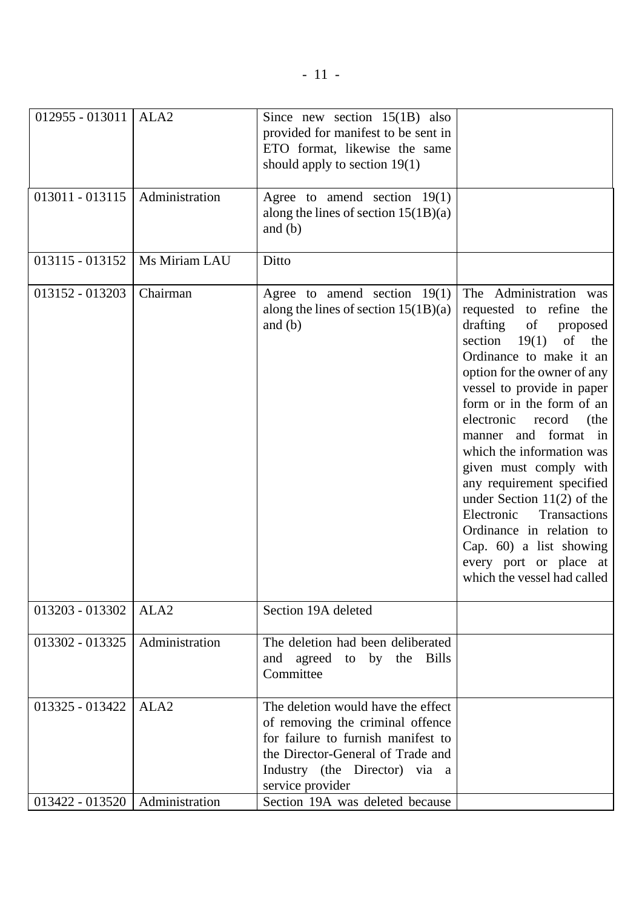| $012955 - 013011$                | ALA <sub>2</sub> | Since new section $15(1B)$ also<br>provided for manifest to be sent in<br>ETO format, likewise the same<br>should apply to section 19(1)                                                               |                                                                                                                                                                                                                                                                                                                                                                                                                                                                                                                                                                    |
|----------------------------------|------------------|--------------------------------------------------------------------------------------------------------------------------------------------------------------------------------------------------------|--------------------------------------------------------------------------------------------------------------------------------------------------------------------------------------------------------------------------------------------------------------------------------------------------------------------------------------------------------------------------------------------------------------------------------------------------------------------------------------------------------------------------------------------------------------------|
| $013011 - 013115$                | Administration   | Agree to amend section $19(1)$<br>along the lines of section $15(1B)(a)$<br>and $(b)$                                                                                                                  |                                                                                                                                                                                                                                                                                                                                                                                                                                                                                                                                                                    |
| $013115 - 013152$                | Ms Miriam LAU    | Ditto                                                                                                                                                                                                  |                                                                                                                                                                                                                                                                                                                                                                                                                                                                                                                                                                    |
| 013152 - 013203                  | Chairman         | Agree to amend section $19(1)$<br>along the lines of section $15(1B)(a)$<br>and $(b)$                                                                                                                  | The Administration was<br>requested to refine the<br>of<br>drafting<br>proposed<br>section<br>19(1)<br>of<br>the<br>Ordinance to make it an<br>option for the owner of any<br>vessel to provide in paper<br>form or in the form of an<br>electronic<br>record<br>(the<br>manner and format<br>in<br>which the information was<br>given must comply with<br>any requirement specified<br>under Section $11(2)$ of the<br>Electronic<br>Transactions<br>Ordinance in relation to<br>Cap. 60) a list showing<br>every port or place at<br>which the vessel had called |
| 013203 - 013302                  | ALA <sub>2</sub> | Section 19A deleted                                                                                                                                                                                    |                                                                                                                                                                                                                                                                                                                                                                                                                                                                                                                                                                    |
| $013302 - 013325$                | Administration   | The deletion had been deliberated<br>and agreed to by the Bills<br>Committee                                                                                                                           |                                                                                                                                                                                                                                                                                                                                                                                                                                                                                                                                                                    |
| 013325 - 013422                  | ALA <sub>2</sub> | The deletion would have the effect<br>of removing the criminal offence<br>for failure to furnish manifest to<br>the Director-General of Trade and<br>Industry (the Director) via a<br>service provider |                                                                                                                                                                                                                                                                                                                                                                                                                                                                                                                                                                    |
| 013422 - 013520   Administration |                  | Section 19A was deleted because                                                                                                                                                                        |                                                                                                                                                                                                                                                                                                                                                                                                                                                                                                                                                                    |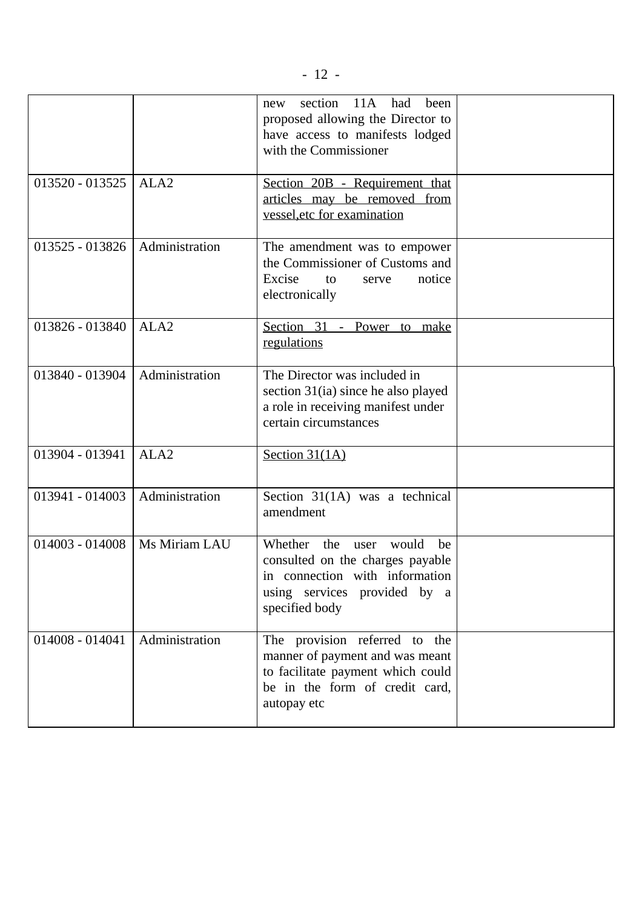|                   |                  | section 11A had<br>been<br>new<br>proposed allowing the Director to<br>have access to manifests lodged<br>with the Commissioner                               |  |
|-------------------|------------------|---------------------------------------------------------------------------------------------------------------------------------------------------------------|--|
| $013520 - 013525$ | ALA <sub>2</sub> | Section 20B - Requirement that<br>articles may be removed from<br>vessel, etc for examination                                                                 |  |
| 013525 - 013826   | Administration   | The amendment was to empower<br>the Commissioner of Customs and<br>Excise<br>notice<br>to<br>serve<br>electronically                                          |  |
| 013826 - 013840   | ALA <sub>2</sub> | Section 31 - Power to make<br>regulations                                                                                                                     |  |
| 013840 - 013904   | Administration   | The Director was included in<br>section 31(ia) since he also played<br>a role in receiving manifest under<br>certain circumstances                            |  |
| 013904 - 013941   | ALA <sub>2</sub> | Section $31(1A)$                                                                                                                                              |  |
| 013941 - 014003   | Administration   | Section $31(1A)$ was a technical<br>amendment                                                                                                                 |  |
| $014003 - 014008$ | Ms Miriam LAU    | Whether<br>the<br>would<br>be<br>user<br>consulted on the charges payable<br>in connection with information<br>using services provided by a<br>specified body |  |
| $014008 - 014041$ | Administration   | The provision referred to the<br>manner of payment and was meant<br>to facilitate payment which could<br>be in the form of credit card,<br>autopay etc        |  |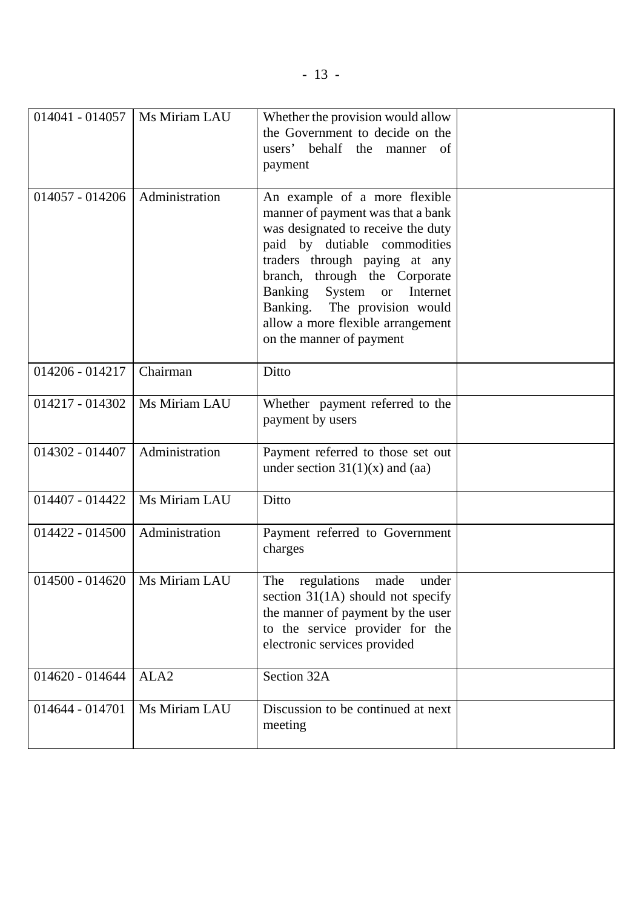| $014041 - 014057$ | Ms Miriam LAU    | Whether the provision would allow<br>the Government to decide on the<br>users' behalf the<br>of<br>manner<br>payment                                                                                                                                                                                                                            |  |
|-------------------|------------------|-------------------------------------------------------------------------------------------------------------------------------------------------------------------------------------------------------------------------------------------------------------------------------------------------------------------------------------------------|--|
| $014057 - 014206$ | Administration   | An example of a more flexible<br>manner of payment was that a bank<br>was designated to receive the duty<br>paid by dutiable commodities<br>traders through paying at any<br>branch, through the Corporate<br>Banking<br>System or<br>Internet<br>Banking. The provision would<br>allow a more flexible arrangement<br>on the manner of payment |  |
| $014206 - 014217$ | Chairman         | Ditto                                                                                                                                                                                                                                                                                                                                           |  |
| 014217 - 014302   | Ms Miriam LAU    | Whether payment referred to the<br>payment by users                                                                                                                                                                                                                                                                                             |  |
| 014302 - 014407   | Administration   | Payment referred to those set out<br>under section $31(1)(x)$ and (aa)                                                                                                                                                                                                                                                                          |  |
| $014407 - 014422$ | Ms Miriam LAU    | Ditto                                                                                                                                                                                                                                                                                                                                           |  |
| $014422 - 014500$ | Administration   | Payment referred to Government<br>charges                                                                                                                                                                                                                                                                                                       |  |
| $014500 - 014620$ | Ms Miriam LAU    | The<br>regulations<br>made<br>under<br>section $31(1A)$ should not specify<br>the manner of payment by the user<br>to the service provider for the<br>electronic services provided                                                                                                                                                              |  |
| 014620 - 014644   | ALA <sub>2</sub> | Section 32A                                                                                                                                                                                                                                                                                                                                     |  |
| 014644 - 014701   | Ms Miriam LAU    | Discussion to be continued at next<br>meeting                                                                                                                                                                                                                                                                                                   |  |